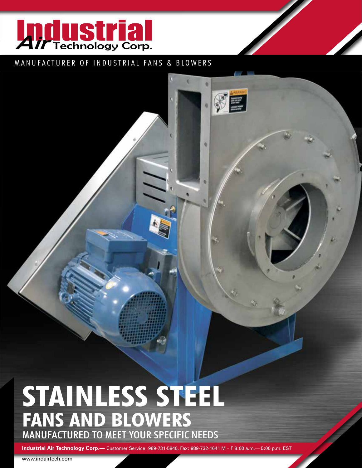

#### MANUFACTURER OF INDUSTRIAL FANS & BLOWERS

٠

ö

⊗目

# **STAINLESS STEEL FANS AND BLOWERS** Manufactured to Meet Your Specific needS

**Industrial Air Technology Corp.—** Customer Service: 989-731-5840, Fax: 989-732-1641 M – F 8:00 a.m.— 5:00 p.m. EST

www.indairtech.com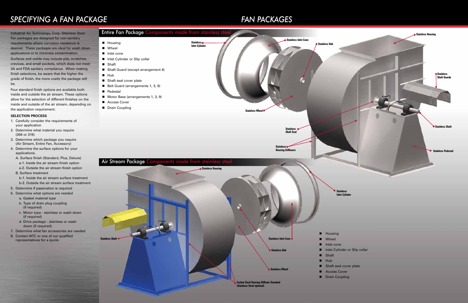## **SPECIFYING A FAN PACKAGE** *FAN PACKAGES*

be.